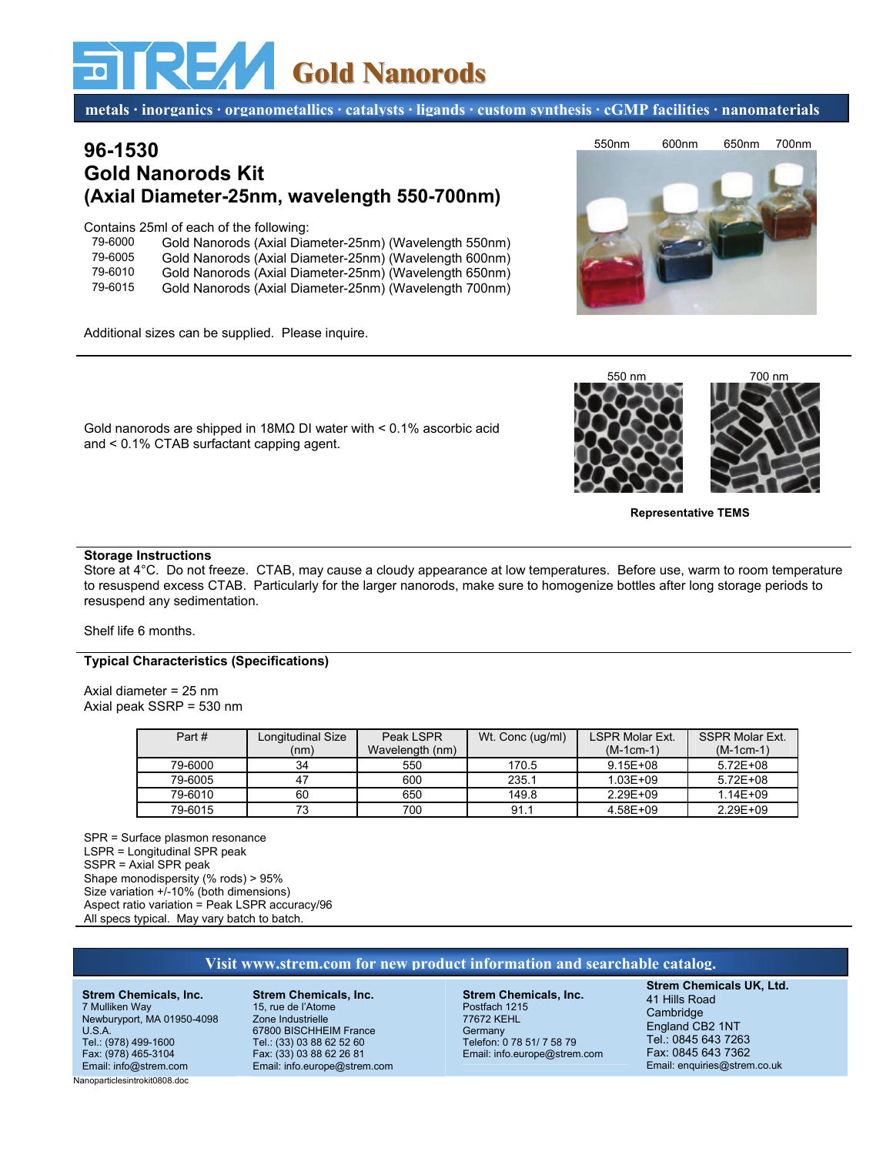# **Gold Nanorods**

**metals · inorganics · organometallics · catalysts · ligands · custom synthesis · cGMP facilities · nanomaterials**

# **96-1530 Gold Nanorods Kit (Axial Diameter-25nm, wavelength 550-700nm)**

Contains 25ml of each of the following:

| 79-6000 | Gold Nanorods (Axial Diameter-25nm) (Wavelength 550nm) |
|---------|--------------------------------------------------------|
| 79-6005 | Gold Nanorods (Axial Diameter-25nm) (Wavelength 600nm) |
| 79-6010 | Gold Nanorods (Axial Diameter-25nm) (Wavelength 650nm) |
| 79-6015 | Gold Nanorods (Axial Diameter-25nm) (Wavelength 700nm) |

Additional sizes can be supplied. Please inquire.



Gold nanorods are shipped in 18MΩ DI water with < 0.1% ascorbic acid and < 0.1% CTAB surfactant capping agent.

### **Storage Instructions**

Store at 4°C. Do not freeze. CTAB, may cause a cloudy appearance at low temperatures. Before use, warm to room temperature to resuspend excess CTAB. Particularly for the larger nanorods, make sure to homogenize bottles after long storage periods to resuspend any sedimentation.

#### Shelf life 6 months.

## **Typical Characteristics (Specifications)**

Axial diameter = 25 nm Axial peak SSRP = 530 nm

| Part#   | Longitudinal Size | Peak LSPR       | Wt. Conc (ug/ml) | <b>LSPR Molar Ext.</b> | <b>SSPR Molar Ext.</b> |
|---------|-------------------|-----------------|------------------|------------------------|------------------------|
|         | (nm)              | Wavelength (nm) |                  | $(M-1cm-1)$            | $(M-1cm-1)$            |
| 79-6000 | 34                | 550             | 170.5            | $9.15E + 08$           | $5.72E + 08$           |
| 79-6005 | 47                | 600             | 235.1            | $1.03E + 09$           | $5.72E + 08$           |
| 79-6010 | 60                | 650             | 149.8            | 2.29E+09               | $1.14E + 09$           |
| 79-6015 | 73                | 700             | 91.1             | 4.58E+09               | 2.29E+09               |

SPR = Surface plasmon resonance LSPR = Longitudinal SPR peak SSPR = Axial SPR peak Shape monodispersity (% rods) > 95% Size variation +/-10% (both dimensions) Aspect ratio variation = Peak LSPR accuracy/96 All specs typical. May vary batch to batch.

# **Visit www.strem.com for new product information and searchable catalog.**

**Strem Chemicals, Inc.** 7 Mulliken Way Newburyport, MA 01950-4098 U.S.A. Tel.: (978) 499-1600 Fax: (978) 465-3104 Email: info@strem.com

**Strem Chemicals, Inc.** 15, rue de l'Atome Zone Industrielle 67800 BISCHHEIM France Tel.: (33) 03 88 62 52 60 Fax: (33) 03 88 62 26 81 Email: info.europe@strem.com

**Strem Chemicals, Inc.** Postfach 1215 77672 KEHL **Germany** Telefon: 0 78 51/ 7 58 79 Email: info.europe@strem.com **Strem Chemicals UK, Ltd.** 41 Hills Road **Cambridge** England CB2 1NT Tel.: 0845 643 7263 Fax: 0845 643 7362 Email: enquiries@strem.co.uk

Nanoparticlesintrokit0808.doc



**Representative TEMS** 

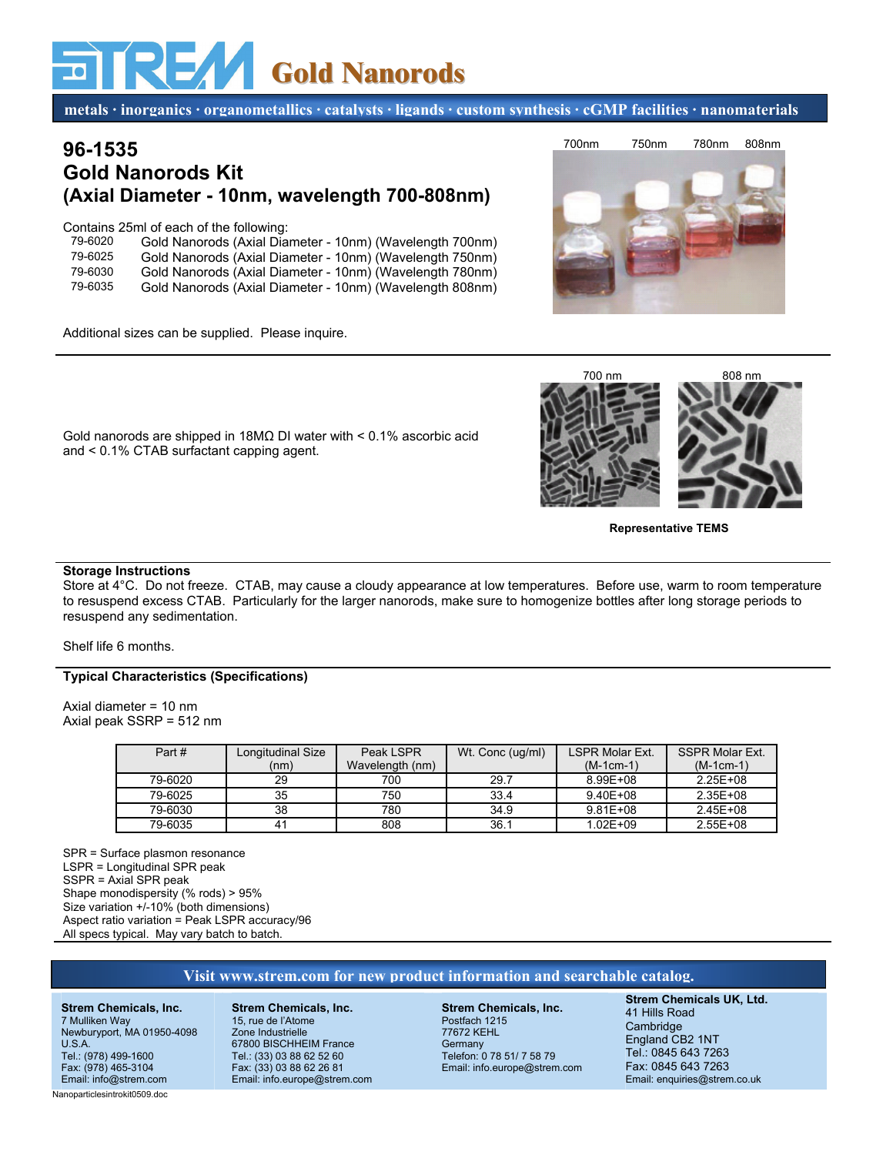# **Gold Nanorods**

**metals · inorganics · organometallics · catalysts · ligands · custom synthesis · cGMP facilities · nanomaterials**

# **96-1535 Gold Nanorods Kit (Axial Diameter - 10nm, wavelength 700-808nm)**

Contains 25ml of each of the following:

| 79-6020 | Gold Nanorods (Axial Diameter - 10nm) (Wavelength 700nm) |
|---------|----------------------------------------------------------|
| 79-6025 | Gold Nanorods (Axial Diameter - 10nm) (Wavelength 750nm) |
| 79-6030 | Gold Nanorods (Axial Diameter - 10nm) (Wavelength 780nm) |
| 79-6035 | Gold Nanorods (Axial Diameter - 10nm) (Wavelength 808nm) |
|         |                                                          |

Gold nanorods are shipped in 18MΩ DI water with < 0.1% ascorbic acid

Additional sizes can be supplied. Please inquire.

and < 0.1% CTAB surfactant capping agent.





**Representative TEMS** 

### **Storage Instructions**

Store at 4°C. Do not freeze. CTAB, may cause a cloudy appearance at low temperatures. Before use, warm to room temperature to resuspend excess CTAB. Particularly for the larger nanorods, make sure to homogenize bottles after long storage periods to resuspend any sedimentation.

Shelf life 6 months.

## **Typical Characteristics (Specifications)**

Axial diameter = 10 nm Axial peak SSRP = 512 nm

| Part#   | Longitudinal Size | Peak LSPR       | Wt. Conc (ug/ml) | <b>LSPR Molar Ext.</b> | <b>SSPR Molar Ext.</b> |
|---------|-------------------|-----------------|------------------|------------------------|------------------------|
|         | (nm)              | Wavelength (nm) |                  | $(M-1cm-1)$            | $(M-1cm-1)$            |
| 79-6020 | 29                | 700             | 29.7             | 8.99E+08               | 2.25E+08               |
| 79-6025 | 35                | 750             | 33.4             | $9.40E + 08$           | $2.35E + 08$           |
| 79-6030 | 38                | 780             | 34.9             | $9.81E + 08$           | $2.45E + 08$           |
| 79-6035 | 4 <sup>1</sup>    | 808             | 36.1             | $1.02E + 09$           | $2.55E+08$             |

SPR = Surface plasmon resonance LSPR = Longitudinal SPR peak SSPR = Axial SPR peak Shape monodispersity (% rods) > 95% Size variation +/-10% (both dimensions) Aspect ratio variation = Peak LSPR accuracy/96 All specs typical. May vary batch to batch.

## **Visit www.strem.com for new product information and searchable catalog.**

**Strem Chemicals, Inc.** 7 Mulliken Way Newburyport, MA 01950-4098 U.S.A. Tel.: (978) 499-1600 Fax: (978) 465-3104 Email: info@strem.com

**Strem Chemicals, Inc.** 15, rue de l'Atome Zone Industrielle 67800 BISCHHEIM France Tel.: (33) 03 88 62 52 60 Fax: (33) 03 88 62 26 81 Email: info.europe@strem.com

**Strem Chemicals, Inc.** Postfach 1215 77672 KEHL **Germany** Telefon: 0 78 51/ 7 58 79 Email: info.europe@strem.com **Strem Chemicals UK, Ltd.** 41 Hills Road Cambridge England CB2 1NT Tel.: 0845 643 7263 Fax: 0845 643 7263 Email: enquiries@strem.co.uk